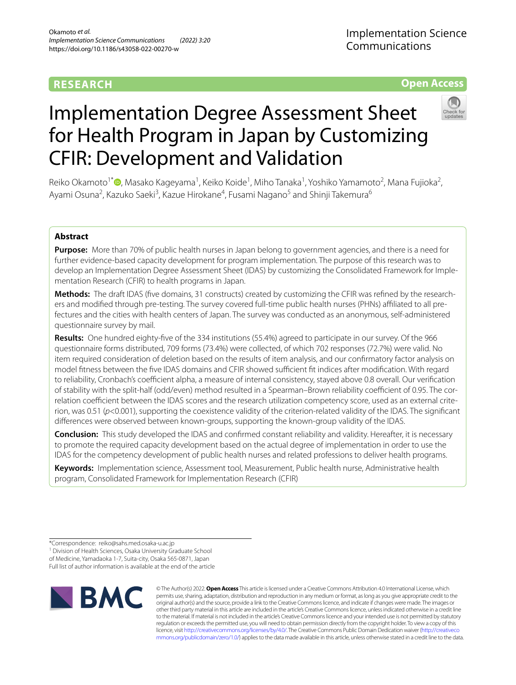# **RESEARCH**

Implementation Science Communications

# **Open Access**



# Implementation Degree Assessment Sheet for Health Program in Japan by Customizing CFIR: Development and Validation

Reiko Okamoto<sup>1[\\*](http://orcid.org/0000-0001-6032-171X)</sup> (**D**, Masako Kageyama<sup>1</sup>, Keiko Koide<sup>1</sup>, Miho Tanaka<sup>1</sup>, Yoshiko Yamamoto<sup>2</sup>, Mana Fujioka<sup>2</sup>, Ayami Osuna<sup>2</sup>, Kazuko Saeki<sup>3</sup>, Kazue Hirokane<sup>4</sup>, Fusami Nagano<sup>5</sup> and Shinji Takemura<sup>6</sup>

# **Abstract**

**Purpose:** More than 70% of public health nurses in Japan belong to government agencies, and there is a need for further evidence-based capacity development for program implementation. The purpose of this research was to develop an Implementation Degree Assessment Sheet (IDAS) by customizing the Consolidated Framework for Implementation Research (CFIR) to health programs in Japan.

**Methods:** The draft IDAS (fve domains, 31 constructs) created by customizing the CFIR was refned by the researchers and modified through pre-testing. The survey covered full-time public health nurses (PHNs) affiliated to all prefectures and the cities with health centers of Japan. The survey was conducted as an anonymous, self-administered questionnaire survey by mail.

**Results:** One hundred eighty-fve of the 334 institutions (55.4%) agreed to participate in our survey. Of the 966 questionnaire forms distributed, 709 forms (73.4%) were collected, of which 702 responses (72.7%) were valid. No item required consideration of deletion based on the results of item analysis, and our confrmatory factor analysis on model fitness between the five IDAS domains and CFIR showed sufficient fit indices after modification. With regard to reliability, Cronbach's coefficient alpha, a measure of internal consistency, stayed above 0.8 overall. Our verification of stability with the split-half (odd/even) method resulted in a Spearman–Brown reliability coefficient of 0.95. The correlation coefficient between the IDAS scores and the research utilization competency score, used as an external criterion, was 0.51 (*p*<0.001), supporting the coexistence validity of the criterion-related validity of the IDAS. The signifcant diferences were observed between known-groups, supporting the known-group validity of the IDAS.

**Conclusion:** This study developed the IDAS and confrmed constant reliability and validity. Hereafter, it is necessary to promote the required capacity development based on the actual degree of implementation in order to use the IDAS for the competency development of public health nurses and related professions to deliver health programs.

**Keywords:** Implementation science, Assessment tool, Measurement, Public health nurse, Administrative health program, Consolidated Framework for Implementation Research (CFIR)

<sup>1</sup> Division of Health Sciences, Osaka University Graduate School of Medicine, Yamadaoka 1-7, Suita-city, Osaka 565-0871, Japan Full list of author information is available at the end of the article



© The Author(s) 2022. **Open Access** This article is licensed under a Creative Commons Attribution 4.0 International License, which permits use, sharing, adaptation, distribution and reproduction in any medium or format, as long as you give appropriate credit to the original author(s) and the source, provide a link to the Creative Commons licence, and indicate if changes were made. The images or other third party material in this article are included in the article's Creative Commons licence, unless indicated otherwise in a credit line to the material. If material is not included in the article's Creative Commons licence and your intended use is not permitted by statutory regulation or exceeds the permitted use, you will need to obtain permission directly from the copyright holder. To view a copy of this licence, visit [http://creativecommons.org/licenses/by/4.0/.](http://creativecommons.org/licenses/by/4.0/) The Creative Commons Public Domain Dedication waiver ([http://creativeco](http://creativecommons.org/publicdomain/zero/1.0/) [mmons.org/publicdomain/zero/1.0/](http://creativecommons.org/publicdomain/zero/1.0/)) applies to the data made available in this article, unless otherwise stated in a credit line to the data.

<sup>\*</sup>Correspondence: reiko@sahs.med.osaka-u.ac.jp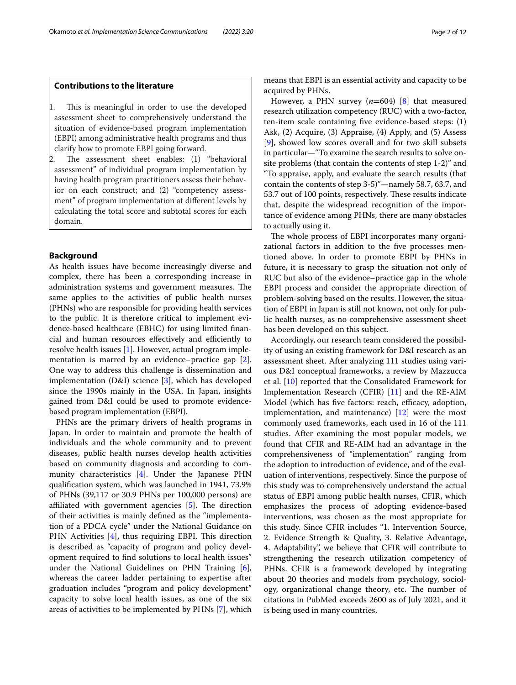# **Contributions to the literature**

- This is meaningful in order to use the developed assessment sheet to comprehensively understand the situation of evidence-based program implementation (EBPI) among administrative health programs and thus clarify how to promote EBPI going forward.
- The assessment sheet enables: (1) "behavioral assessment" of individual program implementation by having health program practitioners assess their behavior on each construct; and (2) "competency assessment" of program implementation at diferent levels by calculating the total score and subtotal scores for each domain.

# **Background**

As health issues have become increasingly diverse and complex, there has been a corresponding increase in administration systems and government measures. The same applies to the activities of public health nurses (PHNs) who are responsible for providing health services to the public. It is therefore critical to implement evidence-based healthcare (EBHC) for using limited fnancial and human resources effectively and efficiently to resolve health issues [\[1](#page-10-0)]. However, actual program implementation is marred by an evidence–practice gap [\[2](#page-10-1)]. One way to address this challenge is dissemination and implementation (D&I) science [\[3](#page-10-2)], which has developed since the 1990s mainly in the USA. In Japan, insights gained from D&I could be used to promote evidencebased program implementation (EBPI).

PHNs are the primary drivers of health programs in Japan. In order to maintain and promote the health of individuals and the whole community and to prevent diseases, public health nurses develop health activities based on community diagnosis and according to community characteristics [[4](#page-10-3)]. Under the Japanese PHN qualifcation system, which was launched in 1941, 73.9% of PHNs (39,117 or 30.9 PHNs per 100,000 persons) are affiliated with government agencies  $[5]$  $[5]$  $[5]$ . The direction of their activities is mainly defned as the "implementation of a PDCA cycle" under the National Guidance on PHN Activities  $[4]$  $[4]$ , thus requiring EBPI. This direction is described as "capacity of program and policy development required to fnd solutions to local health issues" under the National Guidelines on PHN Training  $[6]$  $[6]$ , whereas the career ladder pertaining to expertise after graduation includes "program and policy development" capacity to solve local health issues, as one of the six areas of activities to be implemented by PHNs [[7\]](#page-10-6), which means that EBPI is an essential activity and capacity to be acquired by PHNs.

However, a PHN survey (*n*=604) [[8\]](#page-10-7) that measured research utilization competency (RUC) with a two-factor, ten-item scale containing fve evidence-based steps: (1) Ask, (2) Acquire, (3) Appraise, (4) Apply, and (5) Assess [[9\]](#page-10-8), showed low scores overall and for two skill subsets in particular—"To examine the search results to solve onsite problems (that contain the contents of step 1-2)" and "To appraise, apply, and evaluate the search results (that contain the contents of step 3-5)"—namely 58.7, 63.7, and 53.7 out of 100 points, respectively. These results indicate that, despite the widespread recognition of the importance of evidence among PHNs, there are many obstacles to actually using it.

The whole process of EBPI incorporates many organizational factors in addition to the fve processes mentioned above. In order to promote EBPI by PHNs in future, it is necessary to grasp the situation not only of RUC but also of the evidence–practice gap in the whole EBPI process and consider the appropriate direction of problem-solving based on the results. However, the situation of EBPI in Japan is still not known, not only for public health nurses, as no comprehensive assessment sheet has been developed on this subject.

Accordingly, our research team considered the possibility of using an existing framework for D&I research as an assessment sheet. After analyzing 111 studies using various D&I conceptual frameworks, a review by Mazzucca et al. [[10](#page-10-9)] reported that the Consolidated Framework for Implementation Research (CFIR) [[11](#page-10-10)] and the RE-AIM Model (which has five factors: reach, efficacy, adoption, implementation, and maintenance) [\[12](#page-10-11)] were the most commonly used frameworks, each used in 16 of the 111 studies. After examining the most popular models, we found that CFIR and RE-AIM had an advantage in the comprehensiveness of "implementation" ranging from the adoption to introduction of evidence, and of the evaluation of interventions, respectively. Since the purpose of this study was to comprehensively understand the actual status of EBPI among public health nurses, CFIR, which emphasizes the process of adopting evidence-based interventions, was chosen as the most appropriate for this study. Since CFIR includes "1. Intervention Source, 2. Evidence Strength & Quality, 3. Relative Advantage, 4. Adaptability", we believe that CFIR will contribute to strengthening the research utilization competency of PHNs. CFIR is a framework developed by integrating about 20 theories and models from psychology, sociology, organizational change theory, etc. The number of citations in PubMed exceeds 2600 as of July 2021, and it is being used in many countries.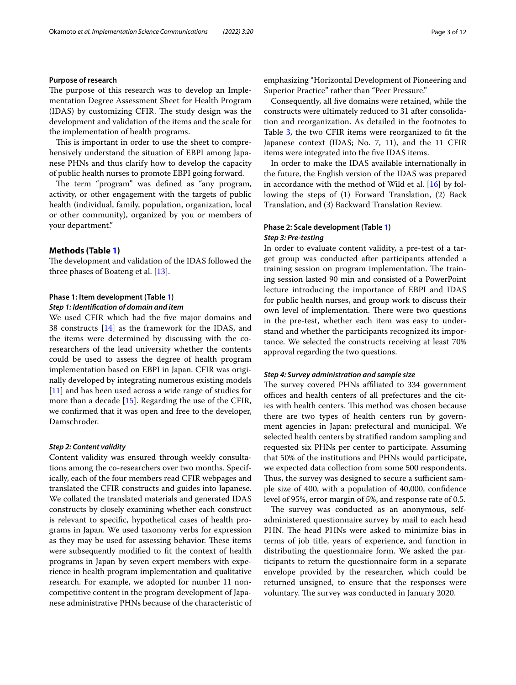## **Purpose of research**

The purpose of this research was to develop an Implementation Degree Assessment Sheet for Health Program (IDAS) by customizing CFIR. The study design was the development and validation of the items and the scale for the implementation of health programs.

This is important in order to use the sheet to comprehensively understand the situation of EBPI among Japanese PHNs and thus clarify how to develop the capacity of public health nurses to promote EBPI going forward.

The term "program" was defined as "any program, activity, or other engagement with the targets of public health (individual, family, population, organization, local or other community), organized by you or members of your department."

#### **Methods (Table [1](#page-3-0))**

The development and validation of the IDAS followed the three phases of Boateng et al. [\[13\]](#page-10-12).

#### **Phase 1: Item development (Table [1\)](#page-3-0)**

#### *Step 1: Identifcation of domain and item*

We used CFIR which had the fve major domains and 38 constructs [\[14\]](#page-10-13) as the framework for the IDAS, and the items were determined by discussing with the coresearchers of the lead university whether the contents could be used to assess the degree of health program implementation based on EBPI in Japan. CFIR was originally developed by integrating numerous existing models [[11\]](#page-10-10) and has been used across a wide range of studies for more than a decade [\[15](#page-10-14)]. Regarding the use of the CFIR, we confrmed that it was open and free to the developer, Damschroder.

#### *Step 2: Content validity*

Content validity was ensured through weekly consultations among the co-researchers over two months. Specifically, each of the four members read CFIR webpages and translated the CFIR constructs and guides into Japanese. We collated the translated materials and generated IDAS constructs by closely examining whether each construct is relevant to specifc, hypothetical cases of health programs in Japan. We used taxonomy verbs for expression as they may be used for assessing behavior. These items were subsequently modifed to ft the context of health programs in Japan by seven expert members with experience in health program implementation and qualitative research. For example, we adopted for number 11 noncompetitive content in the program development of Japanese administrative PHNs because of the characteristic of emphasizing "Horizontal Development of Pioneering and Superior Practice" rather than "Peer Pressure."

Consequently, all fve domains were retained, while the constructs were ultimately reduced to 31 after consolidation and reorganization. As detailed in the footnotes to Table [3](#page-6-0), the two CFIR items were reorganized to ft the Japanese context (IDAS; No. 7, 11), and the 11 CFIR items were integrated into the fve IDAS items.

In order to make the IDAS available internationally in the future, the English version of the IDAS was prepared in accordance with the method of Wild et al. [\[16\]](#page-10-15) by following the steps of (1) Forward Translation, (2) Back Translation, and (3) Backward Translation Review.

# **Phase 2: Scale development (Table [1](#page-3-0))** *Step 3: Pre‑testing*

In order to evaluate content validity, a pre-test of a target group was conducted after participants attended a training session on program implementation. The training session lasted 90 min and consisted of a PowerPoint lecture introducing the importance of EBPI and IDAS for public health nurses, and group work to discuss their own level of implementation. There were two questions in the pre-test, whether each item was easy to understand and whether the participants recognized its importance. We selected the constructs receiving at least 70% approval regarding the two questions.

#### *Step 4: Survey administration and sample size*

The survey covered PHNs affiliated to 334 government offices and health centers of all prefectures and the cities with health centers. This method was chosen because there are two types of health centers run by government agencies in Japan: prefectural and municipal. We selected health centers by stratifed random sampling and requested six PHNs per center to participate. Assuming that 50% of the institutions and PHNs would participate, we expected data collection from some 500 respondents. Thus, the survey was designed to secure a sufficient sample size of 400, with a population of 40,000, confdence level of 95%, error margin of 5%, and response rate of 0.5.

The survey was conducted as an anonymous, selfadministered questionnaire survey by mail to each head PHN. The head PHNs were asked to minimize bias in terms of job title, years of experience, and function in distributing the questionnaire form. We asked the participants to return the questionnaire form in a separate envelope provided by the researcher, which could be returned unsigned, to ensure that the responses were voluntary. The survey was conducted in January 2020.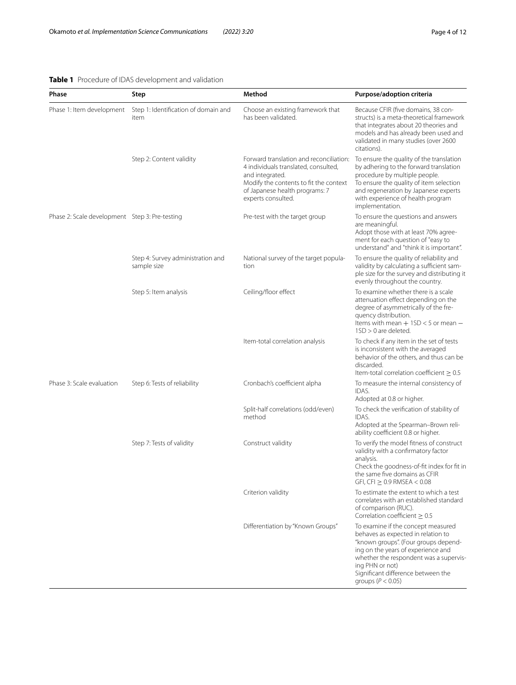# <span id="page-3-0"></span>**Table 1** Procedure of IDAS development and validation

| Phase                                          | Step                                             | Method                                                                                                                                                                                               | Purpose/adoption criteria                                                                                                                                                                                                                                                          |
|------------------------------------------------|--------------------------------------------------|------------------------------------------------------------------------------------------------------------------------------------------------------------------------------------------------------|------------------------------------------------------------------------------------------------------------------------------------------------------------------------------------------------------------------------------------------------------------------------------------|
| Phase 1: Item development                      | Step 1: Identification of domain and<br>item     | Choose an existing framework that<br>has been validated.                                                                                                                                             | Because CFIR (five domains, 38 con-<br>structs) is a meta-theoretical framework<br>that integrates about 20 theories and<br>models and has already been used and<br>validated in many studies (over 2600<br>citations).                                                            |
|                                                | Step 2: Content validity                         | Forward translation and reconciliation:<br>4 individuals translated, consulted,<br>and integrated.<br>Modify the contents to fit the context<br>of Japanese health programs: 7<br>experts consulted. | To ensure the quality of the translation<br>by adhering to the forward translation<br>procedure by multiple people.<br>To ensure the quality of item selection<br>and regeneration by Japanese experts<br>with experience of health program<br>implementation.                     |
| Phase 2: Scale development Step 3: Pre-testing |                                                  | Pre-test with the target group                                                                                                                                                                       | To ensure the questions and answers<br>are meaningful.<br>Adopt those with at least 70% agree-<br>ment for each question of "easy to<br>understand" and "think it is important".                                                                                                   |
|                                                | Step 4: Survey administration and<br>sample size | National survey of the target popula-<br>tion                                                                                                                                                        | To ensure the quality of reliability and<br>validity by calculating a sufficient sam-<br>ple size for the survey and distributing it<br>evenly throughout the country.                                                                                                             |
|                                                | Step 5: Item analysis                            | Ceiling/floor effect                                                                                                                                                                                 | To examine whether there is a scale<br>attenuation effect depending on the<br>degree of asymmetrically of the fre-<br>quency distribution.<br>Items with mean $+1SD < 5$ or mean $-$<br>$1SD > 0$ are deleted.                                                                     |
|                                                |                                                  | Item-total correlation analysis                                                                                                                                                                      | To check if any item in the set of tests<br>is inconsistent with the averaged<br>behavior of the others, and thus can be<br>discarded.<br>Item-total correlation coefficient $\geq 0.5$                                                                                            |
| Phase 3: Scale evaluation                      | Step 6: Tests of reliability                     | Cronbach's coefficient alpha                                                                                                                                                                         | To measure the internal consistency of<br>IDAS.<br>Adopted at 0.8 or higher.                                                                                                                                                                                                       |
|                                                |                                                  | Split-half correlations (odd/even)<br>method                                                                                                                                                         | To check the verification of stability of<br>IDAS.<br>Adopted at the Spearman-Brown reli-<br>ability coefficient 0.8 or higher.                                                                                                                                                    |
|                                                | Step 7: Tests of validity                        | Construct validity                                                                                                                                                                                   | To verify the model fitness of construct<br>validity with a confirmatory factor<br>analysis.<br>Check the goodness-of-fit index for fit in<br>the same five domains as CFIR<br>$GFI, CFI \geq 0.9$ RMSEA < 0.08                                                                    |
|                                                |                                                  | Criterion validity                                                                                                                                                                                   | To estimate the extent to which a test<br>correlates with an established standard<br>of comparison (RUC).<br>Correlation coefficient $\geq 0.5$                                                                                                                                    |
|                                                |                                                  | Differentiation by "Known Groups"                                                                                                                                                                    | To examine if the concept measured<br>behaves as expected in relation to<br>"known groups". (Four groups depend-<br>ing on the years of experience and<br>whether the respondent was a supervis-<br>ing PHN or not)<br>Significant difference between the<br>groups ( $P < 0.05$ ) |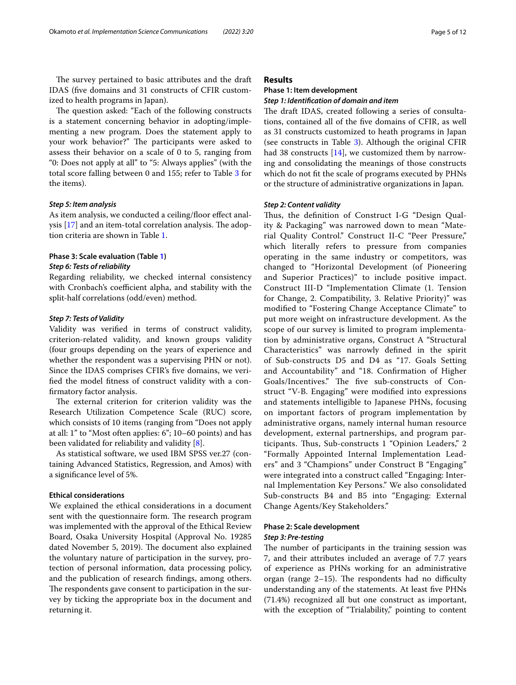The survey pertained to basic attributes and the draft IDAS (fve domains and 31 constructs of CFIR customized to health programs in Japan).

The question asked: "Each of the following constructs is a statement concerning behavior in adopting/implementing a new program. Does the statement apply to your work behavior?" The participants were asked to assess their behavior on a scale of 0 to 5, ranging from "0: Does not apply at all" to "5: Always applies" (with the total score falling between 0 and 155; refer to Table [3](#page-6-0) for the items).

#### *Step 5: Item analysis*

As item analysis, we conducted a ceiling/floor effect analysis  $[17]$  and an item-total correlation analysis. The adoption criteria are shown in Table [1](#page-3-0).

# **Phase 3: Scale evaluation (Table [1](#page-3-0))**

#### *Step 6: Tests of reliability*

Regarding reliability, we checked internal consistency with Cronbach's coefficient alpha, and stability with the split-half correlations (odd/even) method.

#### *Step 7: Tests of Validity*

Validity was verifed in terms of construct validity, criterion-related validity, and known groups validity (four groups depending on the years of experience and whether the respondent was a supervising PHN or not). Since the IDAS comprises CFIR's fve domains, we verifed the model ftness of construct validity with a confrmatory factor analysis.

The external criterion for criterion validity was the Research Utilization Competence Scale (RUC) score, which consists of 10 items (ranging from "Does not apply at all: 1" to "Most often applies: 6"; 10–60 points) and has been validated for reliability and validity [[8\]](#page-10-7).

As statistical software, we used IBM SPSS ver.27 (containing Advanced Statistics, Regression, and Amos) with a signifcance level of 5%.

#### **Ethical considerations**

We explained the ethical considerations in a document sent with the questionnaire form. The research program was implemented with the approval of the Ethical Review Board, Osaka University Hospital (Approval No. 19285 dated November 5, 2019). The document also explained the voluntary nature of participation in the survey, protection of personal information, data processing policy, and the publication of research fndings, among others. The respondents gave consent to participation in the survey by ticking the appropriate box in the document and returning it.

## **Results**

# **Phase 1: Item development**

# *Step 1: Identifcation of domain and item*

The draft IDAS, created following a series of consultations, contained all of the fve domains of CFIR, as well as 31 constructs customized to heath programs in Japan (see constructs in Table [3\)](#page-6-0). Although the original CFIR had 38 constructs [\[14\]](#page-10-13), we customized them by narrowing and consolidating the meanings of those constructs which do not ft the scale of programs executed by PHNs or the structure of administrative organizations in Japan.

#### *Step 2: Content validity*

Thus, the definition of Construct I-G "Design Quality & Packaging" was narrowed down to mean "Material Quality Control." Construct II-C "Peer Pressure," which literally refers to pressure from companies operating in the same industry or competitors, was changed to "Horizontal Development (of Pioneering and Superior Practices)" to include positive impact. Construct III-D "Implementation Climate (1. Tension for Change, 2. Compatibility, 3. Relative Priority)" was modifed to "Fostering Change Acceptance Climate" to put more weight on infrastructure development. As the scope of our survey is limited to program implementation by administrative organs, Construct A "Structural Characteristics" was narrowly defned in the spirit of Sub-constructs D5 and D4 as "17. Goals Setting and Accountability" and "18. Confrmation of Higher Goals/Incentives." The five sub-constructs of Construct "V-B. Engaging" were modifed into expressions and statements intelligible to Japanese PHNs, focusing on important factors of program implementation by administrative organs, namely internal human resource development, external partnerships, and program participants. Thus, Sub-constructs 1 "Opinion Leaders," 2 "Formally Appointed Internal Implementation Leaders" and 3 "Champions" under Construct B "Engaging" were integrated into a construct called "Engaging: Internal Implementation Key Persons." We also consolidated Sub-constructs B4 and B5 into "Engaging: External Change Agents/Key Stakeholders."

# **Phase 2: Scale development**

# *Step 3: Pre‑testing*

The number of participants in the training session was 7, and their attributes included an average of 7.7 years of experience as PHNs working for an administrative organ (range  $2-15$ ). The respondents had no difficulty understanding any of the statements. At least fve PHNs (71.4%) recognized all but one construct as important, with the exception of "Trialability," pointing to content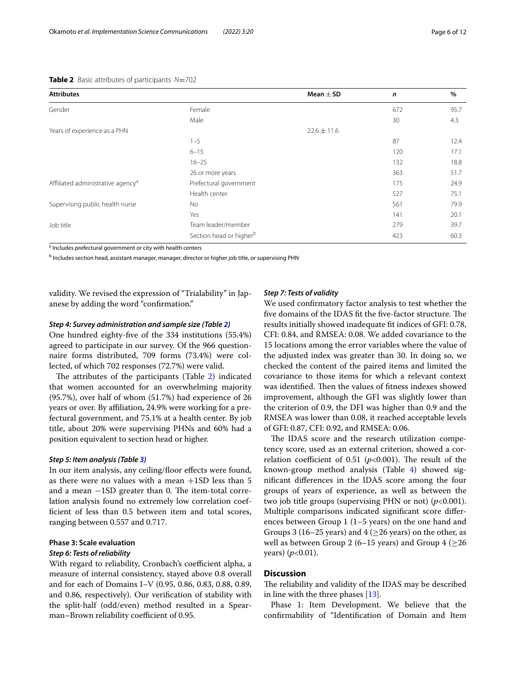<span id="page-5-0"></span>

| <b>Attributes</b>                             |                                     | Mean $\pm$ SD   | $\mathsf{n}$ | $\%$ |
|-----------------------------------------------|-------------------------------------|-----------------|--------------|------|
| Gender                                        | Female                              |                 | 672          | 95.7 |
|                                               | Male                                |                 | 30           | 4.3  |
| Years of experience as a PHN                  |                                     | $22.6 \pm 11.6$ |              |      |
|                                               | $1 - 5$                             |                 | 87           | 12.4 |
|                                               | $6 - 15$                            |                 | 120          | 17.1 |
|                                               | $16 - 25$                           |                 | 132          | 18.8 |
|                                               | 26 or more years                    |                 | 363          | 51.7 |
| Affiliated administrative agency <sup>a</sup> | Prefectural government              |                 | 175          | 24.9 |
|                                               | Health center                       |                 | 527          | 75.1 |
| Supervising public health nurse               | No                                  |                 | 561          | 79.9 |
|                                               | Yes                                 |                 | 141          | 20.1 |
| Job title                                     | Team leader/member                  |                 | 279          | 39.7 |
|                                               | Section head or higher <sup>b</sup> |                 | 423          | 60.3 |

<sup>a</sup> Includes prefectural government or city with health centers

<sup>b</sup> Includes section head, assistant manager, manager, director or higher job title, or supervising PHN

validity. We revised the expression of "Trialability" in Japanese by adding the word "confrmation."

## *Step 4: Survey administration and sample size (Table [2](#page-5-0))*

One hundred eighty-fve of the 334 institutions (55.4%) agreed to participate in our survey. Of the 966 questionnaire forms distributed, 709 forms (73.4%) were collected, of which 702 responses (72.7%) were valid.

The attributes of the participants (Table [2](#page-5-0)) indicated that women accounted for an overwhelming majority (95.7%), over half of whom (51.7%) had experience of 26 years or over. By afliation, 24.9% were working for a prefectural government, and 75.1% at a health center. By job title, about 20% were supervising PHNs and 60% had a position equivalent to section head or higher.

#### *Step 5: Item analysis (Table [3](#page-6-0))*

In our item analysis, any ceiling/floor effects were found, as there were no values with a mean +1SD less than 5 and a mean  $-1SD$  greater than 0. The item-total correlation analysis found no extremely low correlation coefficient of less than 0.5 between item and total scores, ranging between 0.557 and 0.717.

# **Phase 3: Scale evaluation** *Step 6: Tests of reliability*

With regard to reliability, Cronbach's coefficient alpha, a measure of internal consistency, stayed above 0.8 overall and for each of Domains I–V (0.95, 0.86, 0.83, 0.88, 0.89, and 0.86, respectively). Our verifcation of stability with the split-half (odd/even) method resulted in a Spearman–Brown reliability coefficient of 0.95.

#### *Step 7: Tests of validity*

We used confrmatory factor analysis to test whether the five domains of the IDAS fit the five-factor structure. The results initially showed inadequate ft indices of GFI: 0.78, CFI: 0.84, and RMSEA: 0.08. We added covariance to the 15 locations among the error variables where the value of the adjusted index was greater than 30. In doing so, we checked the content of the paired items and limited the covariance to those items for which a relevant context was identified. Then the values of fitness indexes showed improvement, although the GFI was slightly lower than the criterion of 0.9, the DFI was higher than 0.9 and the RMSEA was lower than 0.08, it reached acceptable levels of GFI: 0.87, CFI: 0.92, and RMSEA: 0.06.

The IDAS score and the research utilization competency score, used as an external criterion, showed a correlation coefficient of 0.51 ( $p$ <0.001). The result of the known-group method analysis (Table [4\)](#page-8-0) showed signifcant diferences in the IDAS score among the four groups of years of experience, as well as between the two job title groups (supervising PHN or not) (*p*<0.001). Multiple comparisons indicated signifcant score diferences between Group 1 (1–5 years) on the one hand and Groups 3 (16–25 years) and 4 ( $\geq$ 26 years) on the other, as well as between Group 2 (6–15 years) and Group 4 ( $\geq$ 26 years) (*p*<0.01).

# **Discussion**

The reliability and validity of the IDAS may be described in line with the three phases [[13\]](#page-10-12).

Phase 1: Item Development. We believe that the confrmability of "Identifcation of Domain and Item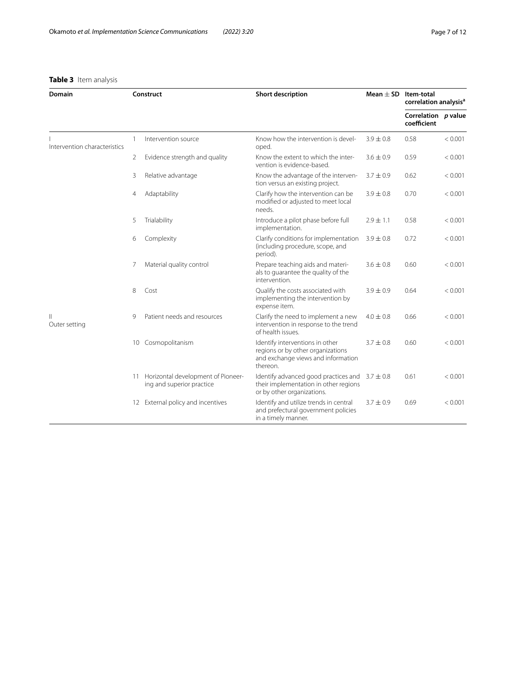# <span id="page-6-0"></span>**Table 3** Item analysis

| Domain                       | Construct |                                                                 | <b>Short description</b>                                                                                                  | Mean $\pm$ SD Item-total | correlation analysis <sup>a</sup>  |         |
|------------------------------|-----------|-----------------------------------------------------------------|---------------------------------------------------------------------------------------------------------------------------|--------------------------|------------------------------------|---------|
|                              |           |                                                                 |                                                                                                                           |                          | Correlation p value<br>coefficient |         |
| Intervention characteristics | 1         | Intervention source                                             | Know how the intervention is devel-<br>oped.                                                                              | $3.9 \pm 0.8$            | 0.58                               | < 0.001 |
|                              | 2         | Evidence strength and quality                                   | Know the extent to which the inter-<br>vention is evidence-based.                                                         | $3.6 \pm 0.9$            | 0.59                               | < 0.001 |
|                              | 3         | Relative advantage                                              | Know the advantage of the interven-<br>tion versus an existing project.                                                   | $3.7 \pm 0.9$            | 0.62                               | < 0.001 |
|                              | 4         | Adaptability                                                    | Clarify how the intervention can be<br>modified or adjusted to meet local<br>needs.                                       | $3.9 \pm 0.8$            | 0.70                               | < 0.001 |
|                              | 5         | Trialability                                                    | Introduce a pilot phase before full<br>implementation.                                                                    | $2.9 \pm 1.1$            | 0.58                               | < 0.001 |
|                              | 6         | Complexity                                                      | Clarify conditions for implementation<br>(including procedure, scope, and<br>period).                                     | $3.9 \pm 0.8$            | 0.72                               | < 0.001 |
|                              | 7         | Material quality control                                        | Prepare teaching aids and materi-<br>als to guarantee the quality of the<br>intervention.                                 | $3.6 \pm 0.8$            | 0.60                               | < 0.001 |
|                              | 8         | Cost                                                            | Qualify the costs associated with<br>implementing the intervention by<br>expense item.                                    | $3.9 \pm 0.9$            | 0.64                               | < 0.001 |
| Ш<br>Outer setting           | 9         | Patient needs and resources                                     | Clarify the need to implement a new<br>intervention in response to the trend<br>of health issues.                         | $4.0 \pm 0.8$            | 0.66                               | < 0.001 |
|                              | 10        | Cosmopolitanism                                                 | Identify interventions in other<br>regions or by other organizations<br>and exchange views and information<br>thereon.    | $3.7 \pm 0.8$            | 0.60                               | < 0.001 |
|                              | 11        | Horizontal development of Pioneer-<br>ing and superior practice | Identify advanced good practices and $3.7 \pm 0.8$<br>their implementation in other regions<br>or by other organizations. |                          | 0.61                               | < 0.001 |
|                              | 12        | External policy and incentives                                  | Identify and utilize trends in central<br>and prefectural government policies<br>in a timely manner.                      | $3.7 \pm 0.9$            | 0.69                               | < 0.001 |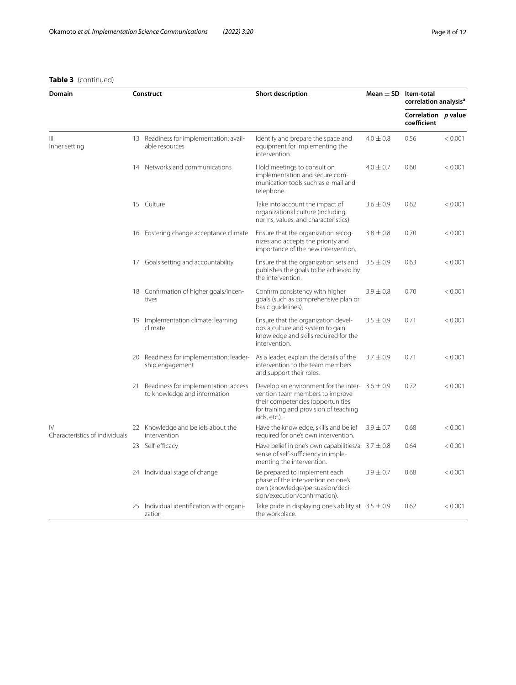# **Table 3** (continued)

| Domain                                          |    | Construct                                                            | <b>Short description</b>                                                                                                                                                              | Mean $\pm$ SD Item-total | correlation analysis <sup>a</sup>  |         |
|-------------------------------------------------|----|----------------------------------------------------------------------|---------------------------------------------------------------------------------------------------------------------------------------------------------------------------------------|--------------------------|------------------------------------|---------|
|                                                 |    |                                                                      |                                                                                                                                                                                       |                          | Correlation p value<br>coefficient |         |
| Ш<br>Inner setting                              |    | 13 Readiness for implementation: avail-<br>able resources            | Identify and prepare the space and<br>equipment for implementing the<br>intervention.                                                                                                 | $4.0 \pm 0.8$            | 0.56                               | < 0.001 |
|                                                 |    | 14 Networks and communications                                       | Hold meetings to consult on<br>implementation and secure com-<br>munication tools such as e-mail and<br>telephone.                                                                    | $4.0 \pm 0.7$            | 0.60                               | < 0.001 |
|                                                 |    | 15 Culture                                                           | Take into account the impact of<br>organizational culture (including<br>norms, values, and characteristics).                                                                          | $3.6 \pm 0.9$            | 0.62                               | < 0.001 |
|                                                 |    | 16 Fostering change acceptance climate                               | Ensure that the organization recog-<br>nizes and accepts the priority and<br>importance of the new intervention.                                                                      | $3.8 \pm 0.8$            | 0.70                               | < 0.001 |
|                                                 |    | 17 Goals setting and accountability                                  | Ensure that the organization sets and<br>publishes the goals to be achieved by<br>the intervention.                                                                                   | $3.5 \pm 0.9$            | 0.63                               | < 0.001 |
|                                                 |    | 18 Confirmation of higher goals/incen-<br>tives                      | Confirm consistency with higher<br>goals (such as comprehensive plan or<br>basic guidelines).                                                                                         | $3.9 \pm 0.8$            | 0.70                               | < 0.001 |
|                                                 |    | 19 Implementation climate: learning<br>climate                       | Ensure that the organization devel-<br>ops a culture and system to gain<br>knowledge and skills required for the<br>intervention.                                                     | $3.5 \pm 0.9$            | 0.71                               | < 0.001 |
|                                                 |    | 20 Readiness for implementation: leader-<br>ship engagement          | As a leader, explain the details of the<br>intervention to the team members<br>and support their roles.                                                                               | $3.7 \pm 0.9$            | 0.71                               | < 0.001 |
|                                                 | 21 | Readiness for implementation: access<br>to knowledge and information | Develop an environment for the inter- $3.6 \pm 0.9$<br>vention team members to improve<br>their competencies (opportunities<br>for training and provision of teaching<br>aids, etc.). |                          | 0.72                               | < 0.001 |
| $\mathsf{IV}$<br>Characteristics of individuals |    | 22 Knowledge and beliefs about the<br>intervention                   | Have the knowledge, skills and belief<br>required for one's own intervention.                                                                                                         | $3.9 \pm 0.7$            | 0.68                               | < 0.001 |
|                                                 |    | 23 Self-efficacy                                                     | Have belief in one's own capabilities/a $3.7 \pm 0.8$<br>sense of self-sufficiency in imple-<br>menting the intervention.                                                             |                          | 0.64                               | < 0.001 |
|                                                 |    | 24 Individual stage of change                                        | Be prepared to implement each<br>phase of the intervention on one's<br>own (knowledge/persuasion/deci-<br>sion/execution/confirmation).                                               | $3.9 \pm 0.7$            | 0.68                               | < 0.001 |
|                                                 |    | 25 Individual identification with organi-<br>zation                  | Take pride in displaying one's ability at $3.5 \pm 0.9$<br>the workplace.                                                                                                             |                          | 0.62                               | < 0.001 |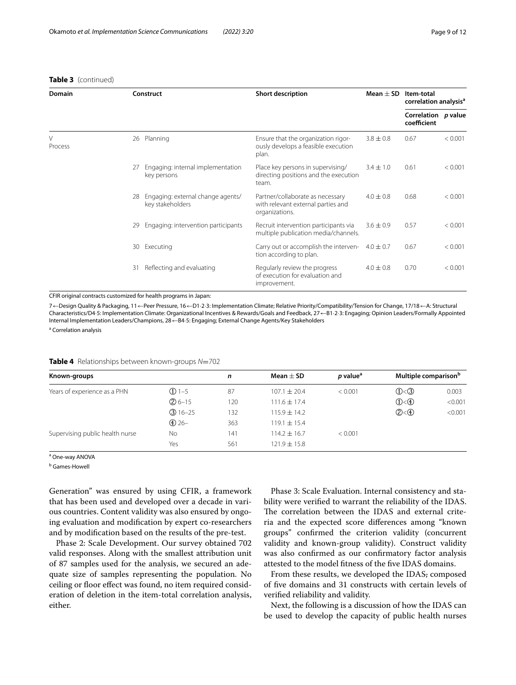**Table 3** (continued)

| Domain       |    | Construct                                             | <b>Short description</b>                                                                 | Mean $\pm$ SD | Item-total<br>correlation analysis <sup>a</sup> |         |
|--------------|----|-------------------------------------------------------|------------------------------------------------------------------------------------------|---------------|-------------------------------------------------|---------|
|              |    |                                                       |                                                                                          |               | Correlation p value<br>coefficient              |         |
| V<br>Process | 26 | Planning                                              | Ensure that the organization rigor-<br>ously develops a feasible execution<br>plan.      | $3.8 \pm 0.8$ | 0.67                                            | < 0.001 |
|              | 27 | Engaging: internal implementation<br>key persons      | Place key persons in supervising/<br>directing positions and the execution<br>team.      | $3.4 \pm 1.0$ | 0.61                                            | < 0.001 |
|              | 28 | Engaging: external change agents/<br>key stakeholders | Partner/collaborate as necessary<br>with relevant external parties and<br>organizations. | $4.0 \pm 0.8$ | 0.68                                            | < 0.001 |
|              | 29 | Engaging: intervention participants                   | Recruit intervention participants via<br>multiple publication media/channels.            | $3.6 \pm 0.9$ | 0.57                                            | < 0.001 |
|              | 30 | Executing                                             | Carry out or accomplish the interven-<br>tion according to plan.                         | $4.0 \pm 0.7$ | 0.67                                            | < 0.001 |
|              | 31 | Reflecting and evaluating                             | Regularly review the progress<br>of execution for evaluation and<br>improvement.         | $4.0 \pm 0.8$ | 0.70                                            | < 0.001 |

CFIR original contracts customized for health programs in Japan:

7←Design Quality & Packaging, 11←Peer Pressure, 16←D1·2·3: Implementation Climate; Relative Priority/Compatibility/Tension for Change, 17/18←A: Structural Characteristics/D4·5: Implementation Climate: Organizational Incentives & Rewards/Goals and Feedback, 27←B1·2·3: Engaging; Opinion Leaders/Formally Appointed Internal Implementation Leaders/Champions, 28←B4·5: Engaging; External Change Agents/Key Stakeholders

<sup>a</sup> Correlation analysis

<span id="page-8-0"></span>

|  | Table 4 Relationships between known-groups N=702 |  |  |  |  |
|--|--------------------------------------------------|--|--|--|--|
|--|--------------------------------------------------|--|--|--|--|

| Known-groups                    | n                     | Mean $\pm$ SD | <i>p</i> value <sup>a</sup> | Multiple comparison <sup>b</sup> |                         |         |
|---------------------------------|-----------------------|---------------|-----------------------------|----------------------------------|-------------------------|---------|
| Years of experience as a PHN    | $(D1-5)$              | 87            | $107.1 \pm 20.4$            | < 0.001                          | $\mathbb{O}$ < $\odot$  | 0.003   |
|                                 | $(2)6 - 15$           | 120           | $111.6 \pm 17.4$            |                                  | $\mathbb{O}$ < $\oplus$ | < 0.001 |
|                                 | $(3)$ 16-25           | 132           | $115.9 \pm 14.2$            |                                  | $(2)$ < 4)              | < 0.001 |
|                                 | $\textcircled{4}$ 26- | 363           | $119.1 \pm 15.4$            |                                  |                         |         |
| Supervising public health nurse | No                    | 141           | $114.2 \pm 16.7$            | < 0.001                          |                         |         |
|                                 | Yes                   | 561           | $121.9 \pm 15.8$            |                                  |                         |         |

<sup>a</sup> One-way ANOVA

<sup>b</sup> Games-Howell

Generation" was ensured by using CFIR, a framework that has been used and developed over a decade in various countries. Content validity was also ensured by ongoing evaluation and modifcation by expert co-researchers and by modifcation based on the results of the pre-test.

Phase 2: Scale Development. Our survey obtained 702 valid responses. Along with the smallest attribution unit of 87 samples used for the analysis, we secured an adequate size of samples representing the population. No ceiling or floor effect was found, no item required consideration of deletion in the item-total correlation analysis, either.

Phase 3: Scale Evaluation. Internal consistency and stability were verifed to warrant the reliability of the IDAS. The correlation between the IDAS and external criteria and the expected score diferences among "known groups" confrmed the criterion validity (concurrent validity and known-group validity). Construct validity was also confrmed as our confrmatory factor analysis attested to the model ftness of the fve IDAS domains.

From these results, we developed the IDAS, composed of fve domains and 31 constructs with certain levels of verifed reliability and validity.

Next, the following is a discussion of how the IDAS can be used to develop the capacity of public health nurses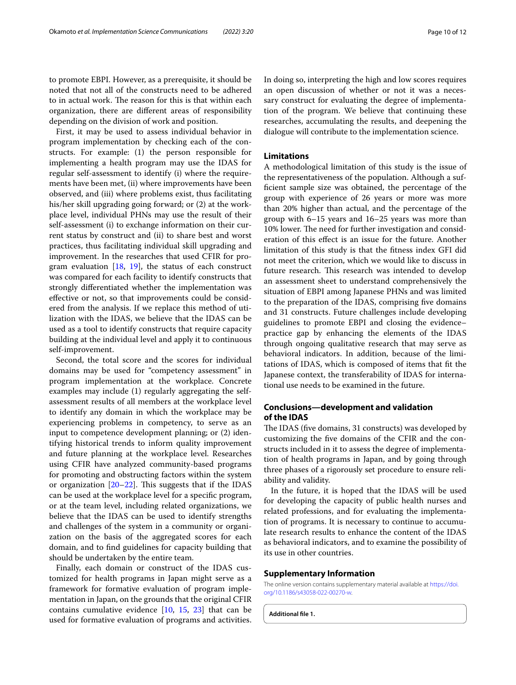to promote EBPI. However, as a prerequisite, it should be noted that not all of the constructs need to be adhered to in actual work. The reason for this is that within each organization, there are diferent areas of responsibility depending on the division of work and position.

First, it may be used to assess individual behavior in program implementation by checking each of the constructs. For example: (1) the person responsible for implementing a health program may use the IDAS for regular self-assessment to identify (i) where the requirements have been met, (ii) where improvements have been observed, and (iii) where problems exist, thus facilitating his/her skill upgrading going forward; or (2) at the workplace level, individual PHNs may use the result of their self-assessment (i) to exchange information on their current status by construct and (ii) to share best and worst practices, thus facilitating individual skill upgrading and improvement. In the researches that used CFIR for program evaluation  $[18, 19]$  $[18, 19]$  $[18, 19]$  $[18, 19]$  $[18, 19]$ , the status of each construct was compared for each facility to identify constructs that strongly diferentiated whether the implementation was efective or not, so that improvements could be considered from the analysis. If we replace this method of utilization with the IDAS, we believe that the IDAS can be used as a tool to identify constructs that require capacity building at the individual level and apply it to continuous self-improvement.

Second, the total score and the scores for individual domains may be used for "competency assessment" in program implementation at the workplace. Concrete examples may include (1) regularly aggregating the selfassessment results of all members at the workplace level to identify any domain in which the workplace may be experiencing problems in competency, to serve as an input to competence development planning; or (2) identifying historical trends to inform quality improvement and future planning at the workplace level. Researches using CFIR have analyzed community-based programs for promoting and obstructing factors within the system or organization  $[20-22]$  $[20-22]$ . This suggests that if the IDAS can be used at the workplace level for a specifc program, or at the team level, including related organizations, we believe that the IDAS can be used to identify strengths and challenges of the system in a community or organization on the basis of the aggregated scores for each domain, and to fnd guidelines for capacity building that should be undertaken by the entire team.

Finally, each domain or construct of the IDAS customized for health programs in Japan might serve as a framework for formative evaluation of program implementation in Japan, on the grounds that the original CFIR contains cumulative evidence [[10](#page-10-9), [15](#page-10-14), [23\]](#page-11-0) that can be used for formative evaluation of programs and activities. In doing so, interpreting the high and low scores requires an open discussion of whether or not it was a necessary construct for evaluating the degree of implementation of the program. We believe that continuing these researches, accumulating the results, and deepening the dialogue will contribute to the implementation science.

# **Limitations**

A methodological limitation of this study is the issue of the representativeness of the population. Although a suffcient sample size was obtained, the percentage of the group with experience of 26 years or more was more than 20% higher than actual, and the percentage of the group with 6–15 years and 16–25 years was more than 10% lower. The need for further investigation and consideration of this efect is an issue for the future. Another limitation of this study is that the ftness index GFI did not meet the criterion, which we would like to discuss in future research. This research was intended to develop an assessment sheet to understand comprehensively the situation of EBPI among Japanese PHNs and was limited to the preparation of the IDAS, comprising fve domains and 31 constructs. Future challenges include developing guidelines to promote EBPI and closing the evidence– practice gap by enhancing the elements of the IDAS through ongoing qualitative research that may serve as behavioral indicators. In addition, because of the limitations of IDAS, which is composed of items that ft the Japanese context, the transferability of IDAS for international use needs to be examined in the future.

# **Conclusions—development and validation of the IDAS**

The IDAS (five domains, 31 constructs) was developed by customizing the fve domains of the CFIR and the constructs included in it to assess the degree of implementation of health programs in Japan, and by going through three phases of a rigorously set procedure to ensure reliability and validity.

In the future, it is hoped that the IDAS will be used for developing the capacity of public health nurses and related professions, and for evaluating the implementation of programs. It is necessary to continue to accumulate research results to enhance the content of the IDAS as behavioral indicators, and to examine the possibility of its use in other countries.

#### **Supplementary Information**

The online version contains supplementary material available at [https://doi.](https://doi.org/10.1186/s43058-022-00270-w) [org/10.1186/s43058-022-00270-w.](https://doi.org/10.1186/s43058-022-00270-w)

**Additional fle 1.**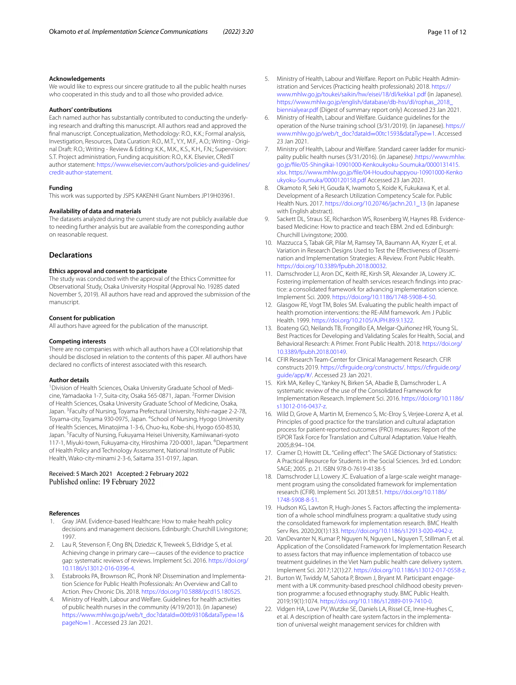#### **Acknowledgements**

We would like to express our sincere gratitude to all the public health nurses who cooperated in this study and to all those who provided advice.

#### **Authors' contributions**

Each named author has substantially contributed to conducting the underlying research and drafting this manuscript. All authors read and approved the fnal manuscript. Conceptualization, Methodology: R.O., K.K.; Formal analysis, Investigation, Resources, Data Curation: R.O., M.T., Y.Y., M.F., A.O.; Writing - Original Draft: R.O.; Writing - Review & Editing: K.K., M.K., K.S., K.H., F.N.; Supervision: S.T. Project administration, Funding acquisition: R.O., K.K. Elsevier, CRediT author statement: [https://www.elsevier.com/authors/policies-and-guidelines/](https://www.elsevier.com/authors/policies-and-guidelines/credit-author-statement) [credit-author-statement.](https://www.elsevier.com/authors/policies-and-guidelines/credit-author-statement)

#### **Funding**

This work was supported by JSPS KAKENHI Grant Numbers JP19H03961.

#### **Availability of data and materials**

The datasets analyzed during the current study are not publicly available due to needing further analysis but are available from the corresponding author on reasonable request.

#### **Declarations**

#### **Ethics approval and consent to participate**

The study was conducted with the approval of the Ethics Committee for Observational Study, Osaka University Hospital (Approval No. 19285 dated November 5, 2019). All authors have read and approved the submission of the manuscript.

#### **Consent for publication**

All authors have agreed for the publication of the manuscript.

#### **Competing interests**

There are no companies with which all authors have a COI relationship that should be disclosed in relation to the contents of this paper. All authors have declared no conficts of interest associated with this research.

#### **Author details**

<sup>1</sup> Division of Health Sciences, Osaka University Graduate School of Medicine, Yamadaoka 1-7, Suita-city, Osaka 565-0871, Japan. <sup>2</sup> Former Division of Health Sciences, Osaka University Graduate School of Medicine, Osaka, Japan. <sup>3</sup> Faculty of Nursing, Toyama Prefectural University, Nishi-nagae 2-2-78, Toyama-city, Toyama 930-0975, Japan. <sup>4</sup>School of Nursing, Hyogo University of Health Sciences, Minatojima 1-3-6, Chuo-ku, Kobe-shi, Hyogo 650-8530, Japan. <sup>5</sup>Faculty of Nursing, Fukuyama Heisei University, Kamiiwanari-syoto 117-1, Miyuki-town, Fukuyama-city, Hiroshima 720-0001, Japan. <sup>6</sup>Department of Health Policy and Technology Assessment, National Institute of Public Health, Wako-city-minami 2-3-6, Saitama 351-0197, Japan.

#### Received: 5 March 2021 Accepted: 2 February 2022 Published online: 19 February 2022

### **References**

- <span id="page-10-0"></span>1. Gray JAM. Evidence-based Healthcare: How to make health policy decisions and management decisions. Edinburgh: Churchill Livingstone; 1997.
- <span id="page-10-1"></span>2. Lau R, Stevenson F, Ong BN, Dziedzic K, Treweek S, Eldridge S, et al. Achieving change in primary care—causes of the evidence to practice gap: systematic reviews of reviews. Implement Sci. 2016. [https://doi.org/](https://doi.org/10.1186/s13012-016-0396-4) [10.1186/s13012-016-0396-4.](https://doi.org/10.1186/s13012-016-0396-4)
- <span id="page-10-2"></span>3. Estabrooks PA, Brownson RC, Pronk NP. Dissemination and Implementation Science for Public Health Professionals: An Overview and Call to Action. Prev Chronic Dis. 2018.<https://doi.org/10.5888/pcd15.180525>.
- <span id="page-10-3"></span>4. Ministry of Health, Labour and Welfare. Guidelines for health activities of public health nurses in the community (4/19/2013). (in Japanese) [https://www.mhlw.go.jp/web/t\\_doc?dataId](https://www.mhlw.go.jp/web/t_doc?dataId=00tb9310&dataType=1&pageNo=1)=00tb9310&dataType=1& [pageNo](https://www.mhlw.go.jp/web/t_doc?dataId=00tb9310&dataType=1&pageNo=1)=1 . Accessed 23 Jan 2021.
- <span id="page-10-4"></span>5. Ministry of Health, Labour and Welfare. Report on Public Health Administration and Services (Practicing health professionals) 2018. [https://](https://www.mhlw.go.jp/toukei/saikin/hw/eisei/18/dl/kekka1.pdf) [www.mhlw.go.jp/toukei/saikin/hw/eisei/18/dl/kekka1.pdf](https://www.mhlw.go.jp/toukei/saikin/hw/eisei/18/dl/kekka1.pdf) (in Japanese). [https://www.mhlw.go.jp/english/database/db-hss/dl/rophas\\_2018\\_](https://www.mhlw.go.jp/english/database/db-hss/dl/rophas_2018_biennialyear.pdf) [biennialyear.pdf](https://www.mhlw.go.jp/english/database/db-hss/dl/rophas_2018_biennialyear.pdf) (Digest of summary report only) Accessed 23 Jan 2021.
- <span id="page-10-5"></span>6. Ministry of Health, Labour and Welfare. Guidance guidelines for the operation of the Nurse training school (3/31/2019). (in Japanese). [https://](https://www.mhlw.go.jp/web/t_doc?dataId=00tc1593&dataType=1) [www.mhlw.go.jp/web/t\\_doc?dataId](https://www.mhlw.go.jp/web/t_doc?dataId=00tc1593&dataType=1)=00tc1593&dataType=1. Accessed 23 Jan 2021.
- <span id="page-10-6"></span>7. Ministry of Health, Labour and Welfare. Standard career ladder for municipality public health nurses (3/31/2016). (in Japanese) [.https://www.mhlw.](https://www.mhlw.go.jp/file/05-Shingikai-10901000-Kenkoukyoku-Soumuka/0000131415.xlsx) [go.jp/fle/05-Shingikai-10901000-Kenkoukyoku-Soumuka/0000131415.](https://www.mhlw.go.jp/file/05-Shingikai-10901000-Kenkoukyoku-Soumuka/0000131415.xlsx) [xlsx.](https://www.mhlw.go.jp/file/05-Shingikai-10901000-Kenkoukyoku-Soumuka/0000131415.xlsx) [https://www.mhlw.go.jp/fle/04-Houdouhappyou-10901000-Kenko](https://www.mhlw.go.jp/file/04-Houdouhappyou-10901000-Kenkoukyoku-Soumuka/0000120158.pdf) [ukyoku-Soumuka/0000120158.pdf](https://www.mhlw.go.jp/file/04-Houdouhappyou-10901000-Kenkoukyoku-Soumuka/0000120158.pdf) Accessed 23 Jan 2021.
- <span id="page-10-7"></span>8. Okamoto R, Seki H, Gouda K, Iwamoto S, Koide K, Fukukawa K, et al. Development of a Research Utilization Competency Scale for. Public Health Nurs. 2017. [https://doi.org/10.20746/jachn.20.1\\_13](https://doi.org/10.20746/jachn.20.1_13) (in Japanese with English abstract).
- <span id="page-10-8"></span>9. Sackett DL, Straus SE, Richardson WS, Rosenberg W, Haynes RB. Evidencebased Medicine: How to practice and teach EBM. 2nd ed. Edinburgh: Churchill Livingstone; 2000.
- <span id="page-10-9"></span>10. Mazzucca S, Tabak GR, Pilar M, Ramsey TA, Baumann AA, Kryzer E, et al. Variation in Research Designs Used to Test the Efectiveness of Dissemination and Implementation Strategies: A Review. Front Public Health. <https://doi.org/10.3389/fpubh.2018.00032>.
- <span id="page-10-10"></span>11. Damschroder LJ, Aron DC, Keith RE, Kirsh SR, Alexander JA, Lowery JC. Fostering implementation of health services research fndings into practice: a consolidated framework for advancing implementation science. Implement Sci. 2009. <https://doi.org/10.1186/1748-5908-4-50>.
- <span id="page-10-11"></span>12. Glasgow RE, Vogt TM, Boles SM. Evaluating the public health impact of health promotion interventions: the RE-AIM framework. Am J Public Health. 1999. [https://doi.org/10.2105/AJPH.89.9.1322.](https://doi.org/10.2105/AJPH.89.9.1322)
- <span id="page-10-12"></span>13. Boateng GO, Neilands TB, Frongillo EA, Melgar-Quiñonez HR, Young SL. Best Practices for Developing and Validating Scales for Health, Social, and Behavioral Research: A Primer. Front Public Health. 2018. [https://doi.org/](https://doi.org/10.3389/fpubh.2018.00149) [10.3389/fpubh.2018.00149](https://doi.org/10.3389/fpubh.2018.00149).
- <span id="page-10-13"></span>14. CFIR Research Team-Center for Clinical Management Research. CFIR constructs 2019. [https://cfrguide.org/constructs/.](https://cfirguide.org/constructs/) [https://cfrguide.org/](https://cfirguide.org/guide/app/#/) [guide/app/#/](https://cfirguide.org/guide/app/#/). Accessed 23 Jan 2021.
- <span id="page-10-14"></span>15. Kirk MA, Kelley C, Yankey N, Birken SA, Abadie B, Damschroder L. A systematic review of the use of the Consolidated Framework for Implementation Research. Implement Sci. 2016. [https://doi.org/10.1186/](https://doi.org/10.1186/s13012-016-0437-z) [s13012-016-0437-z](https://doi.org/10.1186/s13012-016-0437-z).
- <span id="page-10-15"></span>16. Wild D, Grove A, Martin M, Eremenco S, Mc-Elroy S, Verjee-Lorenz A, et al. Principles of good practice for the translation and cultural adaptation process for patient-reported outcomes (PRO) measures: Report of the ISPOR Task Force for Translation and Cultural Adaptation. Value Health. 2005;8:94–104.
- <span id="page-10-16"></span>17. Cramer D, Howitt DL. "Ceiling efect": The SAGE Dictionary of Statistics: A Practical Resource for Students in the Social Sciences. 3rd ed. London: SAGE; 2005. p. 21. ISBN 978-0-7619-4138-5
- <span id="page-10-17"></span>18. Damschroder LJ, Lowery JC. Evaluation of a large-scale weight management program using the consolidated framework for implementation research (CFIR). Implement Sci. 2013;8:51. [https://doi.org/10.1186/](https://doi.org/10.1186/1748-5908-8-51) [1748-5908-8-51.](https://doi.org/10.1186/1748-5908-8-51)
- <span id="page-10-18"></span>19. Hudson KG, Lawton R, Hugh-Jones S. Factors afecting the implementation of a whole school mindfulness program: a qualitative study using the consolidated framework for implementation research. BMC Health Serv Res. 2020;20(1):133. [https://doi.org/10.1186/s12913-020-4942-z.](https://doi.org/10.1186/s12913-020-4942-z)
- <span id="page-10-19"></span>20. VanDevanter N, Kumar P, Nguyen N, Nguyen L, Nguyen T, Stillman F, et al. Application of the Consolidated Framework for Implementation Research to assess factors that may infuence implementation of tobacco use treatment guidelines in the Viet Nam public health care delivery system. Implement Sci. 2017;12(1):27. [https://doi.org/10.1186/s13012-017-0558-z.](https://doi.org/10.1186/s13012-017-0558-z)
- 21. Burton W, Twiddy M, Sahota P, Brown J, Bryant M. Participant engagement with a UK community-based preschool childhood obesity prevention programme: a focused ethnography study. BMC Public Health. 2019;19(1):1074. <https://doi.org/10.1186/s12889-019-7410-0>.
- <span id="page-10-20"></span>22. Vidgen HA, Love PV, Wutzke SE, Daniels LA, Rissel CE, Inne-Hughes C, et al. A description of health care system factors in the implementation of universal weight management services for children with